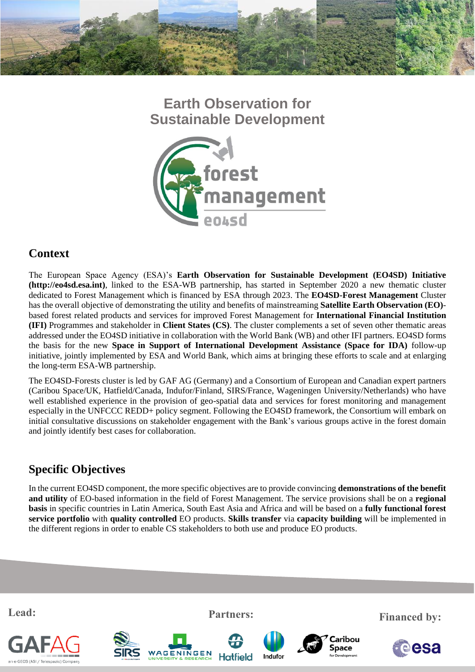

# **Earth Observation for Sustainable Development**



### **Context**

The European Space Agency (ESA)'s **Earth Observation for Sustainable Development (EO4SD) Initiative (http://eo4sd.esa.int)**, linked to the ESA-WB partnership, has started in September 2020 a new thematic cluster dedicated to Forest Management which is financed by ESA through 2023. The **EO4SD-Forest Management** Cluster has the overall objective of demonstrating the utility and benefits of mainstreaming **Satellite Earth Observation (EO)** based forest related products and services for improved Forest Management for **International Financial Institution (IFI)** Programmes and stakeholder in **Client States (CS)**. The cluster complements a set of seven other thematic areas addressed under the EO4SD initiative in collaboration with the World Bank (WB) and other IFI partners. EO4SD forms the basis for the new **Space in Support of International Development Assistance (Space for IDA)** follow-up initiative, jointly implemented by ESA and World Bank, which aims at bringing these efforts to scale and at enlarging the long-term ESA-WB partnership.

The EO4SD-Forests cluster is led by GAF AG (Germany) and a Consortium of European and Canadian expert partners (Caribou Space/UK, Hatfield/Canada, Indufor/Finland, SIRS/France, Wageningen University/Netherlands) who have well established experience in the provision of geo-spatial data and services for forest monitoring and management especially in the UNFCCC REDD+ policy segment. Following the EO4SD framework, the Consortium will embark on initial consultative discussions on stakeholder engagement with the Bank's various groups active in the forest domain and jointly identify best cases for collaboration.

## **Specific Objectives**

In the current EO4SD component, the more specific objectives are to provide convincing **demonstrations of the benefit and utility** of EO-based information in the field of Forest Management. The service provisions shall be on a **regional basis** in specific countries in Latin America, South East Asia and Africa and will be based on a **fully functional forest service portfolio** with **quality controlled** EO products. **Skills transfer** via **capacity building** will be implemented in the different regions in order to enable CS stakeholders to both use and produce EO products.